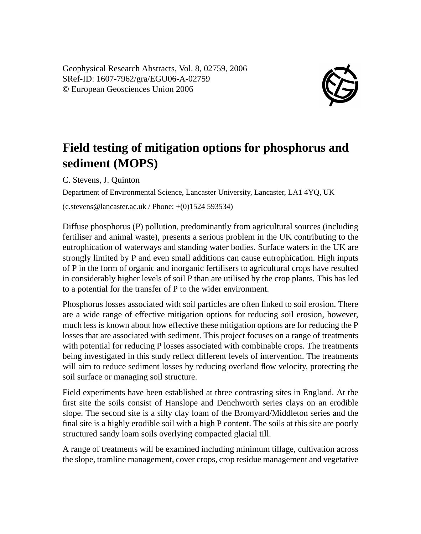Geophysical Research Abstracts, Vol. 8, 02759, 2006 SRef-ID: 1607-7962/gra/EGU06-A-02759 © European Geosciences Union 2006



## **Field testing of mitigation options for phosphorus and sediment (MOPS)**

C. Stevens, J. Quinton

Department of Environmental Science, Lancaster University, Lancaster, LA1 4YQ, UK

 $(c.stevens@lancaster.ac.uk / Phone: +(0)1524593534)$ 

Diffuse phosphorus (P) pollution, predominantly from agricultural sources (including fertiliser and animal waste), presents a serious problem in the UK contributing to the eutrophication of waterways and standing water bodies. Surface waters in the UK are strongly limited by P and even small additions can cause eutrophication. High inputs of P in the form of organic and inorganic fertilisers to agricultural crops have resulted in considerably higher levels of soil P than are utilised by the crop plants. This has led to a potential for the transfer of P to the wider environment.

Phosphorus losses associated with soil particles are often linked to soil erosion. There are a wide range of effective mitigation options for reducing soil erosion, however, much less is known about how effective these mitigation options are for reducing the P losses that are associated with sediment. This project focuses on a range of treatments with potential for reducing P losses associated with combinable crops. The treatments being investigated in this study reflect different levels of intervention. The treatments will aim to reduce sediment losses by reducing overland flow velocity, protecting the soil surface or managing soil structure.

Field experiments have been established at three contrasting sites in England. At the first site the soils consist of Hanslope and Denchworth series clays on an erodible slope. The second site is a silty clay loam of the Bromyard/Middleton series and the final site is a highly erodible soil with a high P content. The soils at this site are poorly structured sandy loam soils overlying compacted glacial till.

A range of treatments will be examined including minimum tillage, cultivation across the slope, tramline management, cover crops, crop residue management and vegetative